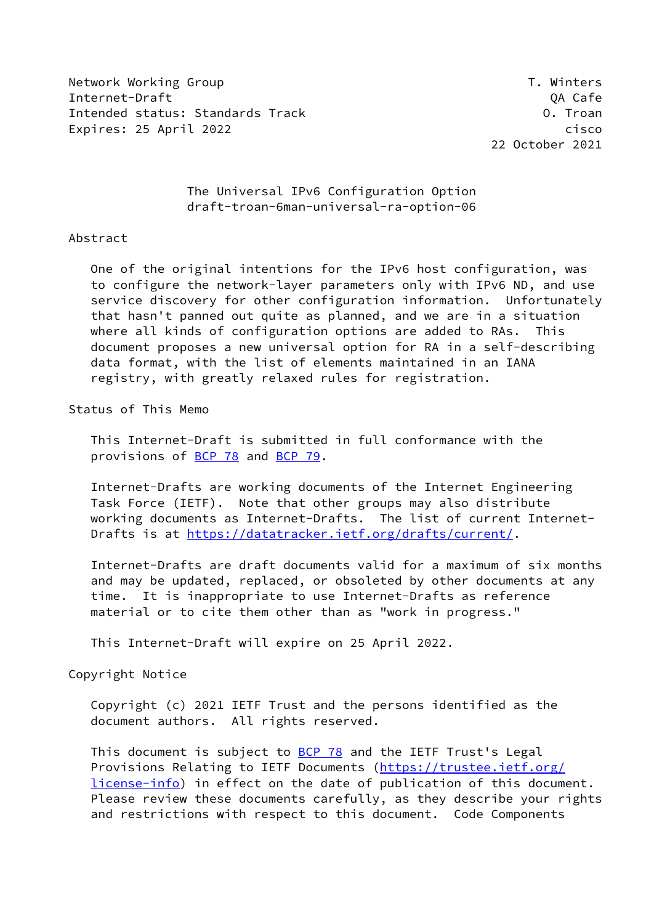Network Working Group T. Winters Internet-Draft QA Cafe Intended status: Standards Track O. Troan Expires: 25 April 2022 **cisco** 

22 October 2021

## The Universal IPv6 Configuration Option draft-troan-6man-universal-ra-option-06

## Abstract

 One of the original intentions for the IPv6 host configuration, was to configure the network-layer parameters only with IPv6 ND, and use service discovery for other configuration information. Unfortunately that hasn't panned out quite as planned, and we are in a situation where all kinds of configuration options are added to RAs. This document proposes a new universal option for RA in a self-describing data format, with the list of elements maintained in an IANA registry, with greatly relaxed rules for registration.

## Status of This Memo

 This Internet-Draft is submitted in full conformance with the provisions of [BCP 78](https://datatracker.ietf.org/doc/pdf/bcp78) and [BCP 79](https://datatracker.ietf.org/doc/pdf/bcp79).

 Internet-Drafts are working documents of the Internet Engineering Task Force (IETF). Note that other groups may also distribute working documents as Internet-Drafts. The list of current Internet- Drafts is at<https://datatracker.ietf.org/drafts/current/>.

 Internet-Drafts are draft documents valid for a maximum of six months and may be updated, replaced, or obsoleted by other documents at any time. It is inappropriate to use Internet-Drafts as reference material or to cite them other than as "work in progress."

This Internet-Draft will expire on 25 April 2022.

#### Copyright Notice

 Copyright (c) 2021 IETF Trust and the persons identified as the document authors. All rights reserved.

This document is subject to **[BCP 78](https://datatracker.ietf.org/doc/pdf/bcp78)** and the IETF Trust's Legal Provisions Relating to IETF Documents ([https://trustee.ietf.org/](https://trustee.ietf.org/license-info) [license-info](https://trustee.ietf.org/license-info)) in effect on the date of publication of this document. Please review these documents carefully, as they describe your rights and restrictions with respect to this document. Code Components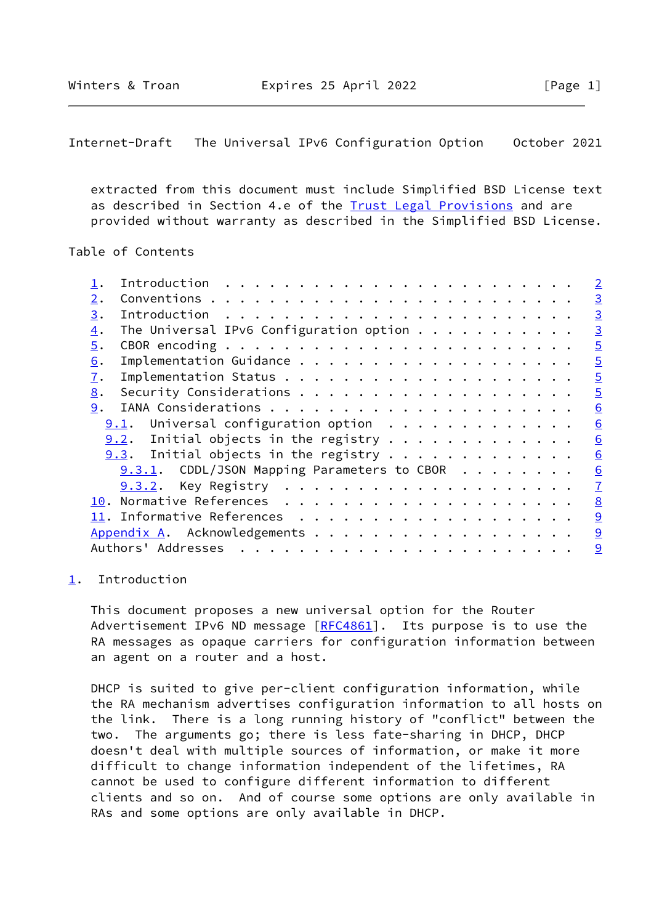<span id="page-1-1"></span>Internet-Draft The Universal IPv6 Configuration Option October 2021

 extracted from this document must include Simplified BSD License text as described in Section 4.e of the [Trust Legal Provisions](https://trustee.ietf.org/license-info) and are provided without warranty as described in the Simplified BSD License.

## Table of Contents

|                  |                                                  |  |  |  |  |  | $\overline{2}$ |
|------------------|--------------------------------------------------|--|--|--|--|--|----------------|
| 2.               |                                                  |  |  |  |  |  | $\overline{3}$ |
| 3.               |                                                  |  |  |  |  |  | $\overline{3}$ |
| $\overline{4}$ . | The Universal IPv6 Configuration option $\cdots$ |  |  |  |  |  | $\overline{3}$ |
| 5.               |                                                  |  |  |  |  |  | $\overline{5}$ |
| 6.               |                                                  |  |  |  |  |  | $\overline{5}$ |
| 7.               |                                                  |  |  |  |  |  | $\overline{5}$ |
| 8.               |                                                  |  |  |  |  |  | $\overline{5}$ |
| 9.               |                                                  |  |  |  |  |  | 6              |
|                  | $9.1$ . Universal configuration option           |  |  |  |  |  | 6              |
|                  | $9.2$ . Initial objects in the registry          |  |  |  |  |  | 6              |
|                  | $9.3$ . Initial objects in the registry          |  |  |  |  |  | 6              |
|                  | $9.3.1$ . CDDL/JSON Mapping Parameters to CBOR   |  |  |  |  |  | 6              |
|                  |                                                  |  |  |  |  |  | $\overline{1}$ |
|                  |                                                  |  |  |  |  |  | 8              |
|                  |                                                  |  |  |  |  |  | 9              |
|                  | Appendix A. Acknowledgements                     |  |  |  |  |  | $\overline{9}$ |
|                  | Authors' Addresses                               |  |  |  |  |  | 9              |
|                  |                                                  |  |  |  |  |  |                |

### <span id="page-1-0"></span>[1](#page-1-0). Introduction

 This document proposes a new universal option for the Router Advertisement IPv6 ND message [[RFC4861](https://datatracker.ietf.org/doc/pdf/rfc4861)]. Its purpose is to use the RA messages as opaque carriers for configuration information between an agent on a router and a host.

 DHCP is suited to give per-client configuration information, while the RA mechanism advertises configuration information to all hosts on the link. There is a long running history of "conflict" between the two. The arguments go; there is less fate-sharing in DHCP, DHCP doesn't deal with multiple sources of information, or make it more difficult to change information independent of the lifetimes, RA cannot be used to configure different information to different clients and so on. And of course some options are only available in RAs and some options are only available in DHCP.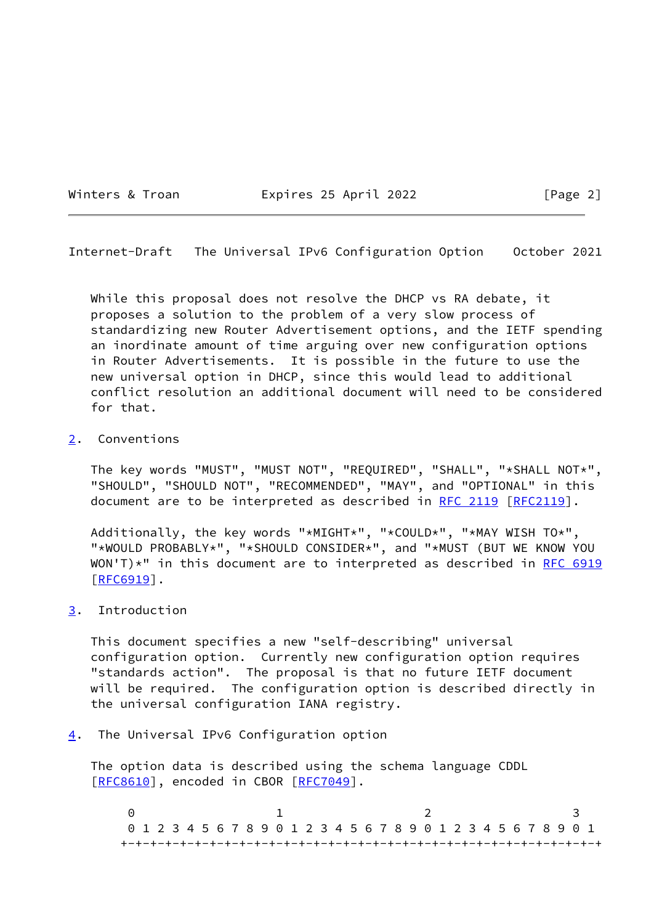Winters & Troan **Expires 25 April 2022** [Page 2]

<span id="page-2-1"></span>Internet-Draft The Universal IPv6 Configuration Option October 2021

 While this proposal does not resolve the DHCP vs RA debate, it proposes a solution to the problem of a very slow process of standardizing new Router Advertisement options, and the IETF spending an inordinate amount of time arguing over new configuration options in Router Advertisements. It is possible in the future to use the new universal option in DHCP, since this would lead to additional conflict resolution an additional document will need to be considered for that.

## <span id="page-2-0"></span>[2](#page-2-0). Conventions

 The key words "MUST", "MUST NOT", "REQUIRED", "SHALL", "\*SHALL NOT\*", "SHOULD", "SHOULD NOT", "RECOMMENDED", "MAY", and "OPTIONAL" in this document are to be interpreted as described in [RFC 2119 \[RFC2119](https://datatracker.ietf.org/doc/pdf/rfc2119)].

 Additionally, the key words "\*MIGHT\*", "\*COULD\*", "\*MAY WISH TO\*", "\*WOULD PROBABLY\*", "\*SHOULD CONSIDER\*", and "\*MUST (BUT WE KNOW YOU  $WON'T$ <sup>\*</sup>" in this document are to interpreted as described in [RFC 6919](https://datatracker.ietf.org/doc/pdf/rfc6919) [\[RFC6919](https://datatracker.ietf.org/doc/pdf/rfc6919)].

### <span id="page-2-2"></span>[3](#page-2-2). Introduction

 This document specifies a new "self-describing" universal configuration option. Currently new configuration option requires "standards action". The proposal is that no future IETF document will be required. The configuration option is described directly in the universal configuration IANA registry.

# <span id="page-2-3"></span>[4](#page-2-3). The Universal IPv6 Configuration option

 The option data is described using the schema language CDDL [\[RFC8610](https://datatracker.ietf.org/doc/pdf/rfc8610)], encoded in CBOR [[RFC7049\]](https://datatracker.ietf.org/doc/pdf/rfc7049).

 $0$  1 2 3 0 1 2 3 4 5 6 7 8 9 0 1 2 3 4 5 6 7 8 9 0 1 2 3 4 5 6 7 8 9 0 1 +-+-+-+-+-+-+-+-+-+-+-+-+-+-+-+-+-+-+-+-+-+-+-+-+-+-+-+-+-+-+-+-+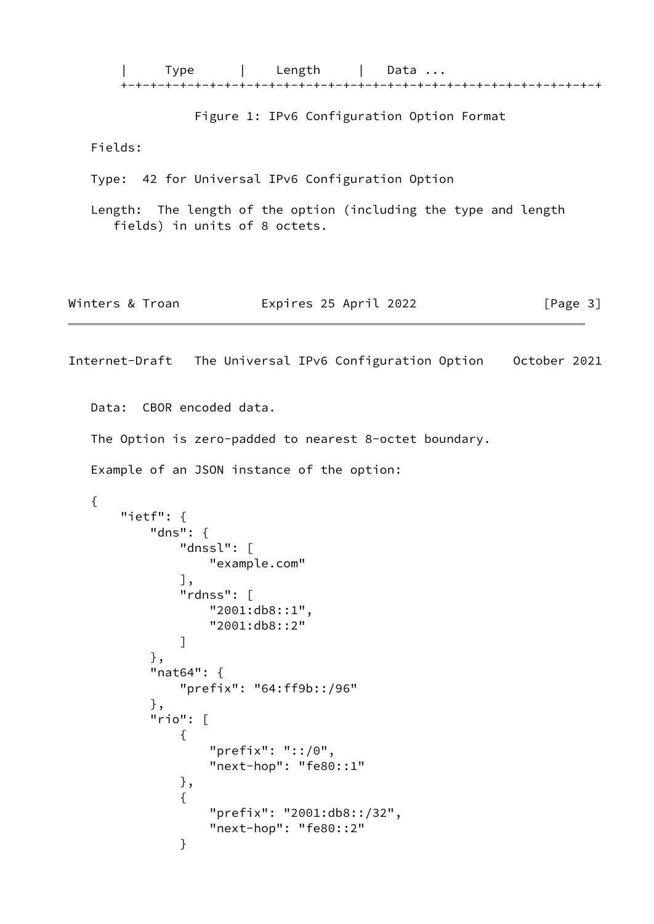```
| Type | Length | Data ...
 +-+-+-+-+-+-+-+-+-+-+-+-+-+-+-+-+-+-+-+-+-+-+-+-+-+-+-+-+-+-+-+-+
```

```
 Figure 1: IPv6 Configuration Option Format
```
Fields:

}

Type: 42 for Universal IPv6 Configuration Option

 Length: The length of the option (including the type and length fields) in units of 8 octets.

| Winters & Troan | Expires 25 April 2022 | [Page 3] |
|-----------------|-----------------------|----------|
|-----------------|-----------------------|----------|

```
Internet-Draft The Universal IPv6 Configuration Option October 2021
   Data: CBOR encoded data.
   The Option is zero-padded to nearest 8-octet boundary.
   Example of an JSON instance of the option:
   {
       "ietf": {
           "dns": {
               "dnssl": [
                   "example.com"
               ],
               "rdnss": [
                   "2001:db8::1",
                   "2001:db8::2"
 ]
           },
           "nat64": {
               "prefix": "64:ff9b::/96"
           },
           "rio": [
\{ "prefix": "::/0",
                   "next-hop": "fe80::1"
               },
\{ "prefix": "2001:db8::/32",
                   "next-hop": "fe80::2"
```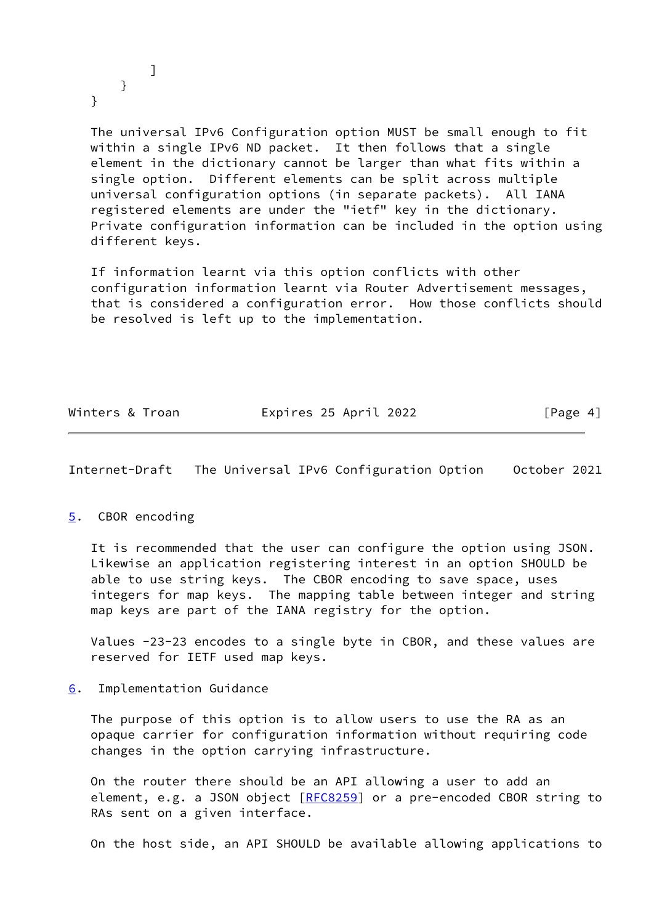] }

}

 The universal IPv6 Configuration option MUST be small enough to fit within a single IPv6 ND packet. It then follows that a single element in the dictionary cannot be larger than what fits within a single option. Different elements can be split across multiple universal configuration options (in separate packets). All IANA registered elements are under the "ietf" key in the dictionary. Private configuration information can be included in the option using different keys.

 If information learnt via this option conflicts with other configuration information learnt via Router Advertisement messages, that is considered a configuration error. How those conflicts should be resolved is left up to the implementation.

| Winters & Troan | Expires 25 April 2022 | [Page 4] |
|-----------------|-----------------------|----------|
|                 |                       |          |

<span id="page-4-1"></span>Internet-Draft The Universal IPv6 Configuration Option October 2021

#### <span id="page-4-0"></span>[5](#page-4-0). CBOR encoding

 It is recommended that the user can configure the option using JSON. Likewise an application registering interest in an option SHOULD be able to use string keys. The CBOR encoding to save space, uses integers for map keys. The mapping table between integer and string map keys are part of the IANA registry for the option.

 Values -23-23 encodes to a single byte in CBOR, and these values are reserved for IETF used map keys.

<span id="page-4-2"></span>[6](#page-4-2). Implementation Guidance

 The purpose of this option is to allow users to use the RA as an opaque carrier for configuration information without requiring code changes in the option carrying infrastructure.

 On the router there should be an API allowing a user to add an element, e.g. a JSON object [\[RFC8259](https://datatracker.ietf.org/doc/pdf/rfc8259)] or a pre-encoded CBOR string to RAs sent on a given interface.

On the host side, an API SHOULD be available allowing applications to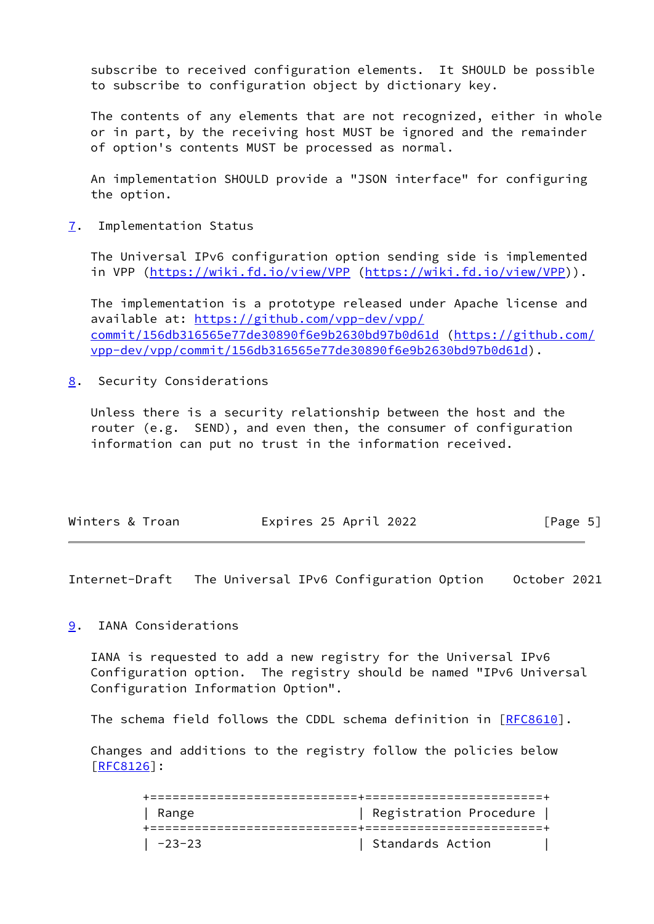subscribe to received configuration elements. It SHOULD be possible to subscribe to configuration object by dictionary key.

 The contents of any elements that are not recognized, either in whole or in part, by the receiving host MUST be ignored and the remainder of option's contents MUST be processed as normal.

 An implementation SHOULD provide a "JSON interface" for configuring the option.

<span id="page-5-0"></span>[7](#page-5-0). Implementation Status

 The Universal IPv6 configuration option sending side is implemented in VPP [\(https://wiki.fd.io/view/VPP](https://wiki.fd.io/view/VPP) [\(https://wiki.fd.io/view/VPP](https://wiki.fd.io/view/VPP))).

 The implementation is a prototype released under Apache license and available at: [https://github.com/vpp-dev/vpp/](https://github.com/vpp-dev/vpp/commit/156db316565e77de30890f6e9b2630bd97b0d61d) [commit/156db316565e77de30890f6e9b2630bd97b0d61d](https://github.com/vpp-dev/vpp/commit/156db316565e77de30890f6e9b2630bd97b0d61d) [\(https://github.com/](https://github.com/vpp-dev/vpp/commit/156db316565e77de30890f6e9b2630bd97b0d61d) [vpp-dev/vpp/commit/156db316565e77de30890f6e9b2630bd97b0d61d](https://github.com/vpp-dev/vpp/commit/156db316565e77de30890f6e9b2630bd97b0d61d)).

<span id="page-5-1"></span>[8](#page-5-1). Security Considerations

 Unless there is a security relationship between the host and the router (e.g. SEND), and even then, the consumer of configuration information can put no trust in the information received.

| Winters & Troan | Expires 25 April 2022 | [Page 5] |
|-----------------|-----------------------|----------|
|                 |                       |          |

<span id="page-5-3"></span>Internet-Draft The Universal IPv6 Configuration Option October 2021

## <span id="page-5-2"></span>[9](#page-5-2). IANA Considerations

 IANA is requested to add a new registry for the Universal IPv6 Configuration option. The registry should be named "IPv6 Universal Configuration Information Option".

The schema field follows the CDDL schema definition in [\[RFC8610](https://datatracker.ietf.org/doc/pdf/rfc8610)].

 Changes and additions to the registry follow the policies below [\[RFC8126](https://datatracker.ietf.org/doc/pdf/rfc8126)]:

> +============================+========================+ | Range | Registration Procedure | +============================+========================+ | -23-23 | Standards Action |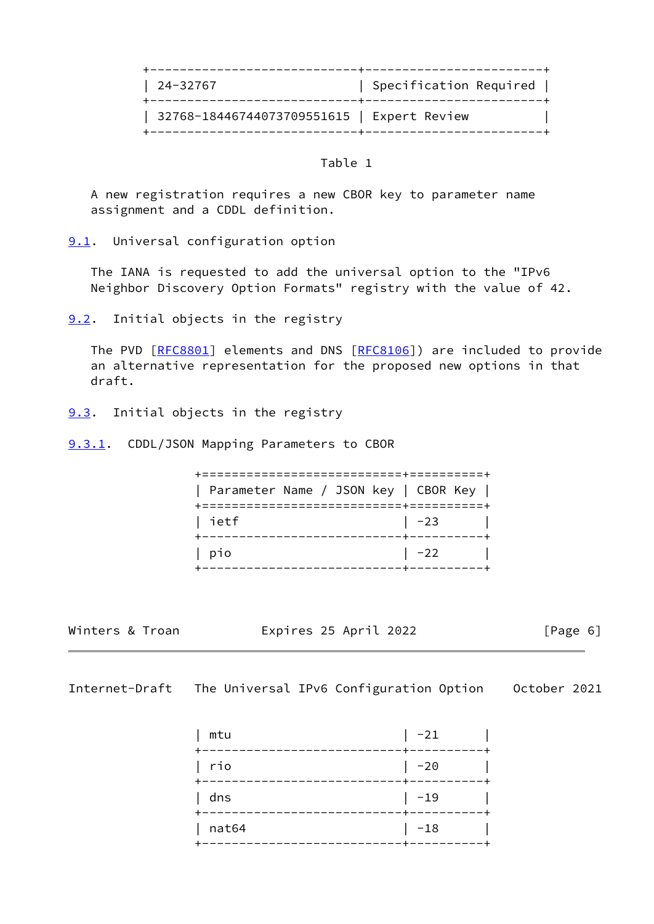| 24-32767                                   | Specification Required |
|--------------------------------------------|------------------------|
| 32768-18446744073709551615   Expert Review |                        |

### Table 1

 A new registration requires a new CBOR key to parameter name assignment and a CDDL definition.

<span id="page-6-0"></span>[9.1](#page-6-0). Universal configuration option

 The IANA is requested to add the universal option to the "IPv6 Neighbor Discovery Option Formats" registry with the value of 42.

<span id="page-6-1"></span>[9.2](#page-6-1). Initial objects in the registry

 The PVD [\[RFC8801](https://datatracker.ietf.org/doc/pdf/rfc8801)] elements and DNS [[RFC8106\]](https://datatracker.ietf.org/doc/pdf/rfc8106)) are included to provide an alternative representation for the proposed new options in that draft.

- <span id="page-6-2"></span>[9.3](#page-6-2). Initial objects in the registry
- <span id="page-6-3"></span>[9.3.1](#page-6-3). CDDL/JSON Mapping Parameters to CBOR

 +===========================+==========+ | Parameter Name / JSON key | CBOR Key | +===========================+==========+ | ietf | -23 | +---------------------------+----------+ | pio | -22 | +---------------------------+----------+

Winters & Troan **Expires 25 April 2022** [Page 6]

<span id="page-6-4"></span>Internet-Draft The Universal IPv6 Configuration Option October 2021

| mtu   | $-21$   |
|-------|---------|
| rio   | $-20$   |
| dns   | $-19$   |
| nat64 | $  -18$ |
|       |         |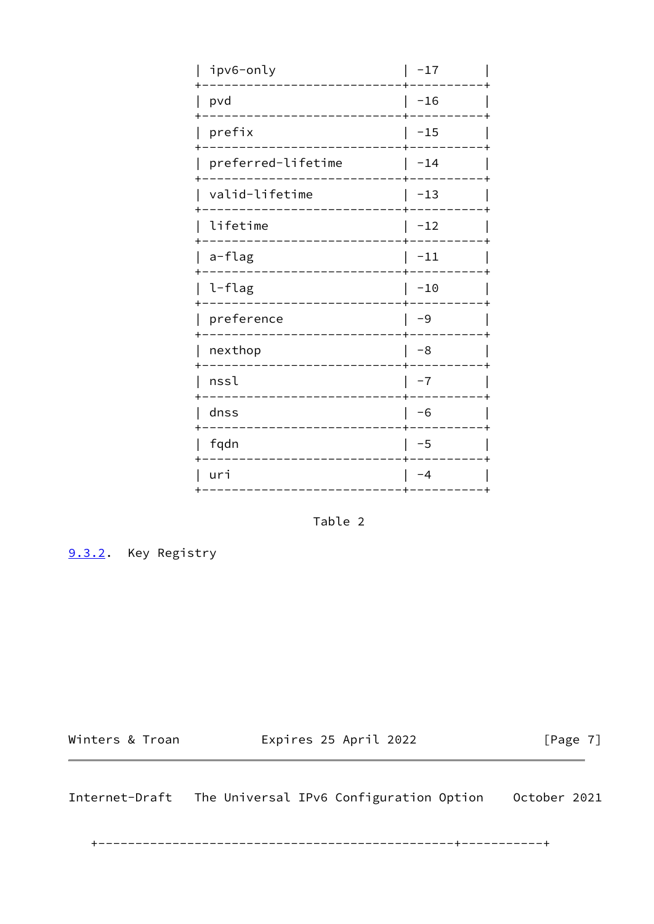| ipv6-only          | $-17$ |
|--------------------|-------|
| pvd                | $-16$ |
| prefix             | $-15$ |
| preferred-lifetime | $-14$ |
| valid-lifetime     | $-13$ |
| lifetime           | $-12$ |
| a-flag             | $-11$ |
| l-flag             | $-10$ |
| preference         | -9    |
| nexthop            | -8    |
| nssl               | $-7$  |
| dnss               | $-6$  |
| fqdn               | $-5$  |
| uri                | $-4$  |
|                    |       |

Table 2

<span id="page-7-0"></span>9.3.2. Key Registry

Winters & Troan Expires 25 April 2022

 $[Page 7]$ 

<span id="page-7-1"></span>Internet-Draft The Universal IPv6 Configuration Option 0ctober 2021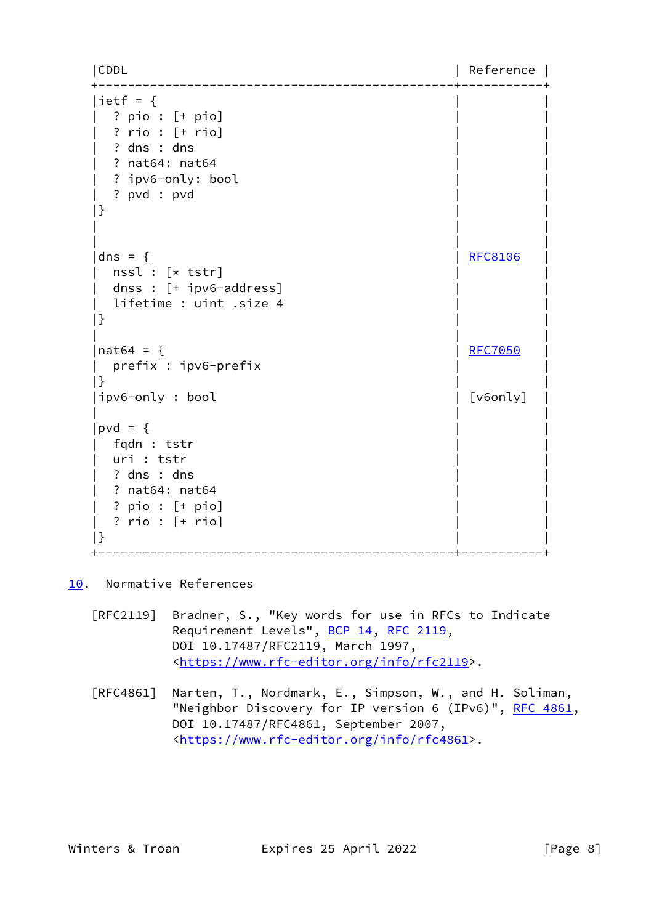|CDDL | Reference | +------------------------------------------------+-----------+ |ietf =  $\{$  | ? pio : [+ pio] | | | ? rio : [+ rio] | | ? dns : dns ? nat64: nat64 ? ipv6-only: bool | ? pvd : pvd | |  $|\}$  | | | | | | | dns = { | [RFC8106](https://datatracker.ietf.org/doc/pdf/rfc8106) | nssl :  $[*$  tstr] dnss :  $[+$  ipv6-address] lifetime : uint .size 4  $|\}$  | | | | nat64 = { | [RFC7050](https://datatracker.ietf.org/doc/pdf/rfc7050) | RFC7050 | RFC7050 | RFC7050 | RFC7050 | RFC7050 | RFC7050 | RFC7050 | RFC7050 | RFC7050 | prefix : ipv6-prefix | |  $|\}$  |ipv6-only : bool | [v6only] | | | |  $|pvd = \{$  | fqdn : tstr | | uri : tstr ? dns : dns ? nat64: nat64 | ? pio : [+ pio] | | | ? rio : [+ rio] | |  $|\}$ +------------------------------------------------+-----------+

<span id="page-8-0"></span>[10.](#page-8-0) Normative References

- [RFC2119] Bradner, S., "Key words for use in RFCs to Indicate Requirement Levels", [BCP 14](https://datatracker.ietf.org/doc/pdf/bcp14), [RFC 2119](https://datatracker.ietf.org/doc/pdf/rfc2119), DOI 10.17487/RFC2119, March 1997, <[https://www.rfc-editor.org/info/rfc2119>](https://www.rfc-editor.org/info/rfc2119).
- [RFC4861] Narten, T., Nordmark, E., Simpson, W., and H. Soliman, "Neighbor Discovery for IP version 6 (IPv6)", [RFC 4861](https://datatracker.ietf.org/doc/pdf/rfc4861), DOI 10.17487/RFC4861, September 2007, <[https://www.rfc-editor.org/info/rfc4861>](https://www.rfc-editor.org/info/rfc4861).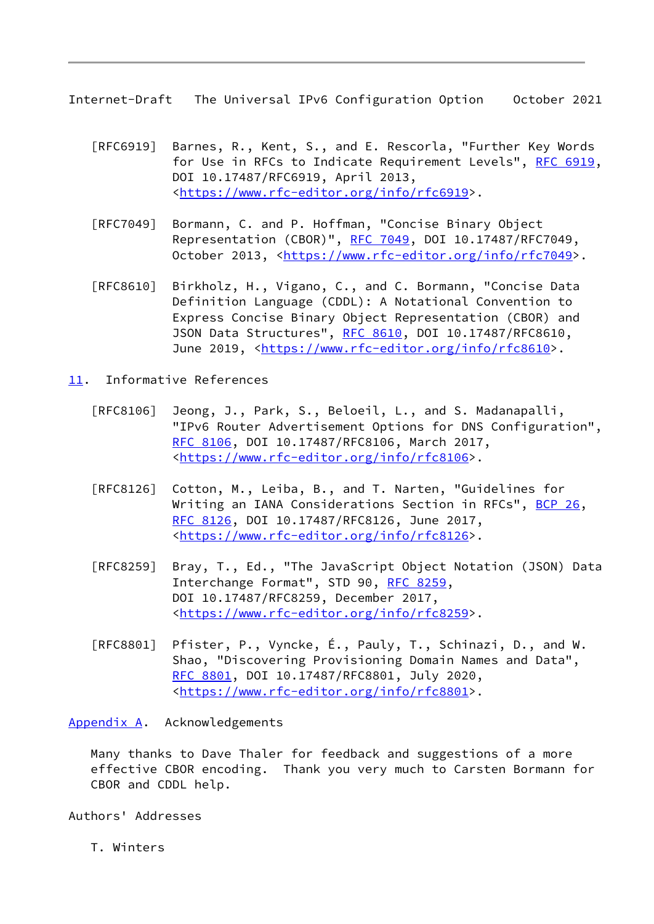<span id="page-9-1"></span>Internet-Draft The Universal IPv6 Configuration Option October 2021

- [RFC6919] Barnes, R., Kent, S., and E. Rescorla, "Further Key Words for Use in RFCs to Indicate Requirement Levels", [RFC 6919,](https://datatracker.ietf.org/doc/pdf/rfc6919) DOI 10.17487/RFC6919, April 2013, <[https://www.rfc-editor.org/info/rfc6919>](https://www.rfc-editor.org/info/rfc6919).
- [RFC7049] Bormann, C. and P. Hoffman, "Concise Binary Object Representation (CBOR)", [RFC 7049,](https://datatracker.ietf.org/doc/pdf/rfc7049) DOI 10.17487/RFC7049, October 2013, [<https://www.rfc-editor.org/info/rfc7049](https://www.rfc-editor.org/info/rfc7049)>.
- [RFC8610] Birkholz, H., Vigano, C., and C. Bormann, "Concise Data Definition Language (CDDL): A Notational Convention to Express Concise Binary Object Representation (CBOR) and JSON Data Structures", [RFC 8610](https://datatracker.ietf.org/doc/pdf/rfc8610), DOI 10.17487/RFC8610, June 2019, <<https://www.rfc-editor.org/info/rfc8610>>.
- <span id="page-9-0"></span>[11.](#page-9-0) Informative References
	- [RFC8106] Jeong, J., Park, S., Beloeil, L., and S. Madanapalli, "IPv6 Router Advertisement Options for DNS Configuration", [RFC 8106,](https://datatracker.ietf.org/doc/pdf/rfc8106) DOI 10.17487/RFC8106, March 2017, <[https://www.rfc-editor.org/info/rfc8106>](https://www.rfc-editor.org/info/rfc8106).
	- [RFC8126] Cotton, M., Leiba, B., and T. Narten, "Guidelines for Writing an IANA Considerations Section in RFCs", [BCP 26](https://datatracker.ietf.org/doc/pdf/bcp26), [RFC 8126,](https://datatracker.ietf.org/doc/pdf/rfc8126) DOI 10.17487/RFC8126, June 2017, <[https://www.rfc-editor.org/info/rfc8126>](https://www.rfc-editor.org/info/rfc8126).
	- [RFC8259] Bray, T., Ed., "The JavaScript Object Notation (JSON) Data Interchange Format", STD 90, [RFC 8259](https://datatracker.ietf.org/doc/pdf/rfc8259), DOI 10.17487/RFC8259, December 2017, <[https://www.rfc-editor.org/info/rfc8259>](https://www.rfc-editor.org/info/rfc8259).
	- [RFC8801] Pfister, P., Vyncke, É., Pauly, T., Schinazi, D., and W. Shao, "Discovering Provisioning Domain Names and Data", [RFC 8801,](https://datatracker.ietf.org/doc/pdf/rfc8801) DOI 10.17487/RFC8801, July 2020, <[https://www.rfc-editor.org/info/rfc8801>](https://www.rfc-editor.org/info/rfc8801).

<span id="page-9-2"></span>[Appendix A.](#page-9-2) Acknowledgements

 Many thanks to Dave Thaler for feedback and suggestions of a more effective CBOR encoding. Thank you very much to Carsten Bormann for CBOR and CDDL help.

Authors' Addresses

T. Winters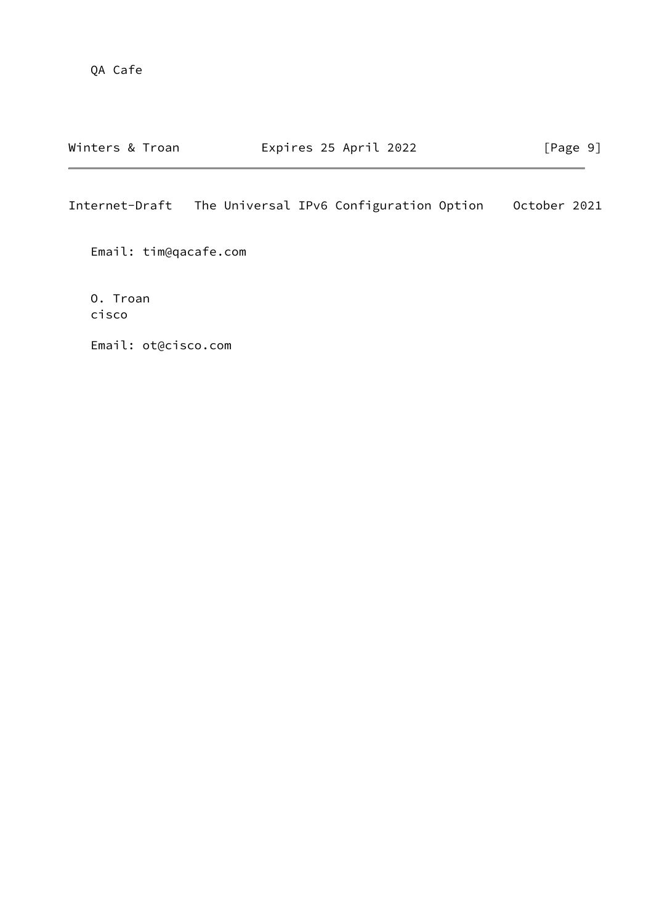Internet-Draft The Universal IPv6 Configuration Option October 2021

Email: tim@qacafe.com

 O. Troan cisco

Email: ot@cisco.com